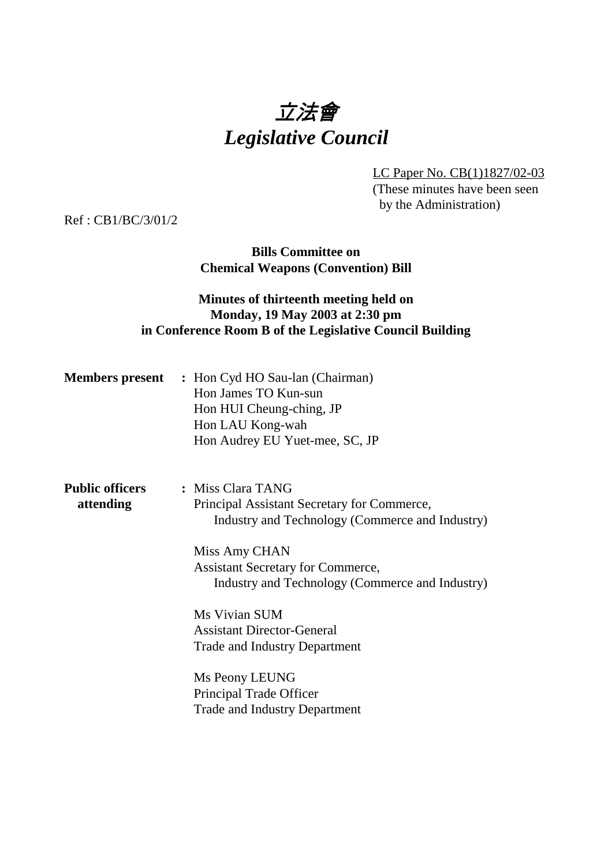# 立法會 *Legislative Council*

LC Paper No. CB(1)1827/02-03 (These minutes have been seen by the Administration)

Ref : CB1/BC/3/01/2

**Bills Committee on Chemical Weapons (Convention) Bill**

### **Minutes of thirteenth meeting held on Monday, 19 May 2003 at 2:30 pm in Conference Room B of the Legislative Council Building**

|                                     | <b>Members present</b> : Hon Cyd HO Sau-lan (Chairman)<br>Hon James TO Kun-sun<br>Hon HUI Cheung-ching, JP<br>Hon LAU Kong-wah<br>Hon Audrey EU Yuet-mee, SC, JP                                                                    |
|-------------------------------------|-------------------------------------------------------------------------------------------------------------------------------------------------------------------------------------------------------------------------------------|
| <b>Public officers</b><br>attending | : Miss Clara TANG<br>Principal Assistant Secretary for Commerce,<br>Industry and Technology (Commerce and Industry)<br>Miss Amy CHAN<br><b>Assistant Secretary for Commerce,</b><br>Industry and Technology (Commerce and Industry) |
|                                     | Ms Vivian SUM<br><b>Assistant Director-General</b><br><b>Trade and Industry Department</b>                                                                                                                                          |
|                                     | Ms Peony LEUNG<br>Principal Trade Officer<br><b>Trade and Industry Department</b>                                                                                                                                                   |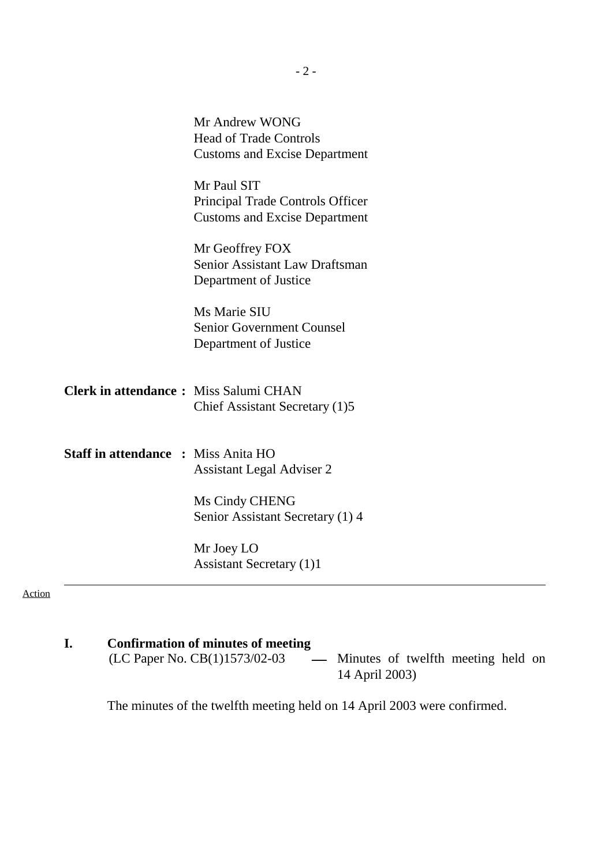|                                              | Mr Andrew WONG<br><b>Head of Trade Controls</b><br><b>Customs and Excise Department</b> |
|----------------------------------------------|-----------------------------------------------------------------------------------------|
|                                              | Mr Paul SIT<br>Principal Trade Controls Officer<br><b>Customs and Excise Department</b> |
|                                              | Mr Geoffrey FOX<br>Senior Assistant Law Draftsman<br>Department of Justice              |
|                                              | Ms Marie SIU<br><b>Senior Government Counsel</b><br>Department of Justice               |
| <b>Clerk in attendance: Miss Salumi CHAN</b> | Chief Assistant Secretary (1)5                                                          |
| <b>Staff in attendance : Miss Anita HO</b>   | <b>Assistant Legal Adviser 2</b>                                                        |
|                                              | Ms Cindy CHENG<br>Senior Assistant Secretary (1) 4                                      |
|                                              | Mr Joey LO<br><b>Assistant Secretary (1)1</b>                                           |

Action

**I.** Confirmation of minutes of meeting<br>(LC Paper No. CB(1)1573/02-03 - Minutes of twelfth meeting held on 14 April 2003)

The minutes of the twelfth meeting held on 14 April 2003 were confirmed.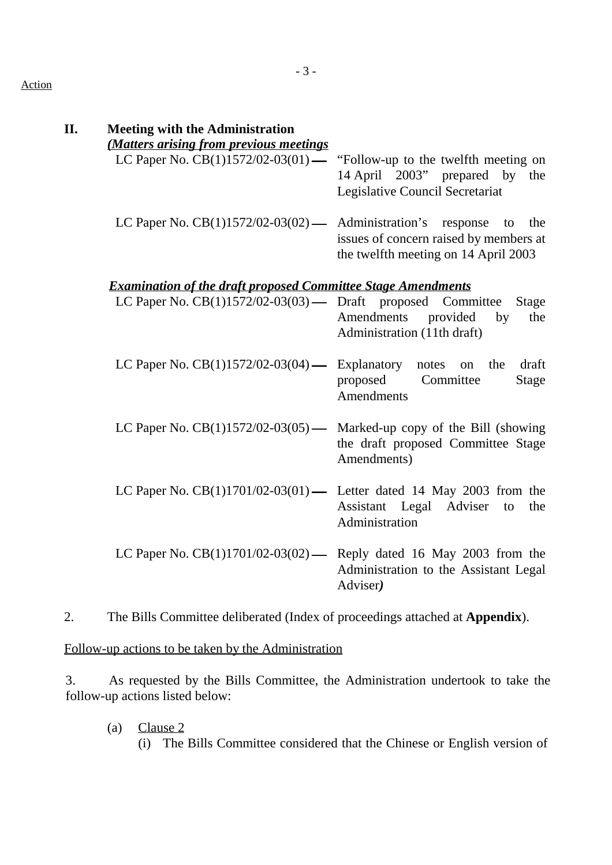#### Action

| <b>Meeting with the Administration</b>                                |                                                                                                                          |
|-----------------------------------------------------------------------|--------------------------------------------------------------------------------------------------------------------------|
| (Matters arising from previous meetings                               |                                                                                                                          |
| LC Paper No. $CB(1)1572/02-03(01)$ —                                  | "Follow-up to the twelfth meeting on<br>14 April 2003" prepared by<br>the<br>Legislative Council Secretariat             |
| LC Paper No. $CB(1)1572/02-03(02)$ —                                  | Administration's response<br>the<br>to<br>issues of concern raised by members at<br>the twelfth meeting on 14 April 2003 |
| <b>Examination of the draft proposed Committee Stage Amendments</b>   |                                                                                                                          |
| LC Paper No. CB(1)1572/02-03(03) — Draft proposed Committee           | <b>Stage</b><br>Amendments<br>provided<br>the<br>by<br>Administration (11th draft)                                       |
| LC Paper No. $CB(1)1572/02-03(04)$ —                                  | draft<br>Explanatory notes on<br>the<br>proposed<br>Committee<br><b>Stage</b><br>Amendments                              |
| LC Paper No. $CB(1)1572/02-03(05)$ —                                  | Marked-up copy of the Bill (showing<br>the draft proposed Committee Stage<br>Amendments)                                 |
| LC Paper No. $CB(1)1701/02-03(01)$ Letter dated 14 May 2003 from the  | Assistant Legal Adviser<br>to<br>the<br>Administration                                                                   |
| LC Paper No. $CB(1)1701/02-03(02)$ — Reply dated 16 May 2003 from the | Administration to the Assistant Legal<br>Adviser)                                                                        |

2. The Bills Committee deliberated (Index of proceedings attached at **Appendix**).

Follow-up actions to be taken by the Administration

3. As requested by the Bills Committee, the Administration undertook to take the follow-up actions listed below:

(a) Clause 2 (i) The Bills Committee considered that the Chinese or English version of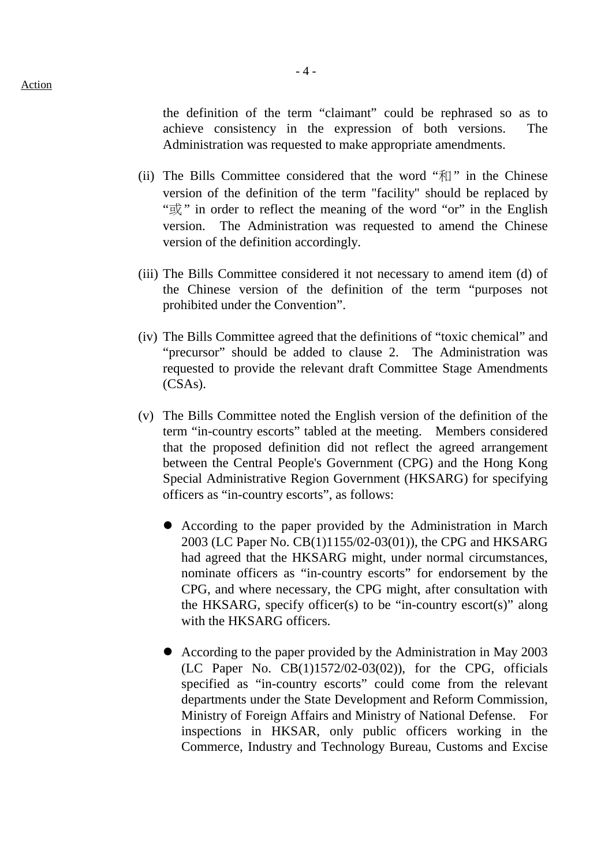- 4 -

the definition of the term "claimant" could be rephrased so as to achieve consistency in the expression of both versions. The Administration was requested to make appropriate amendments.

- (ii) The Bills Committee considered that the word " $\pi$ " in the Chinese version of the definition of the term "facility" should be replaced by " $\mathbb{R}$ " in order to reflect the meaning of the word "or" in the English version. The Administration was requested to amend the Chinese version of the definition accordingly.
- (iii) The Bills Committee considered it not necessary to amend item (d) of the Chinese version of the definition of the term "purposes not prohibited under the Convention".
- (iv) The Bills Committee agreed that the definitions of "toxic chemical" and "precursor" should be added to clause 2. The Administration was requested to provide the relevant draft Committee Stage Amendments (CSAs).
- (v) The Bills Committee noted the English version of the definition of the term "in-country escorts" tabled at the meeting. Members considered that the proposed definition did not reflect the agreed arrangement between the Central People's Government (CPG) and the Hong Kong Special Administrative Region Government (HKSARG) for specifying officers as "in-country escorts", as follows:
	- ! According to the paper provided by the Administration in March 2003 (LC Paper No. CB(1)1155/02-03(01)), the CPG and HKSARG had agreed that the HKSARG might, under normal circumstances, nominate officers as "in-country escorts" for endorsement by the CPG, and where necessary, the CPG might, after consultation with the HKSARG, specify officer(s) to be "in-country escort(s)" along with the HKSARG officers.
	- ! According to the paper provided by the Administration in May 2003 (LC Paper No. CB(1)1572/02-03(02)), for the CPG, officials specified as "in-country escorts" could come from the relevant departments under the State Development and Reform Commission, Ministry of Foreign Affairs and Ministry of National Defense. For inspections in HKSAR, only public officers working in the Commerce, Industry and Technology Bureau, Customs and Excise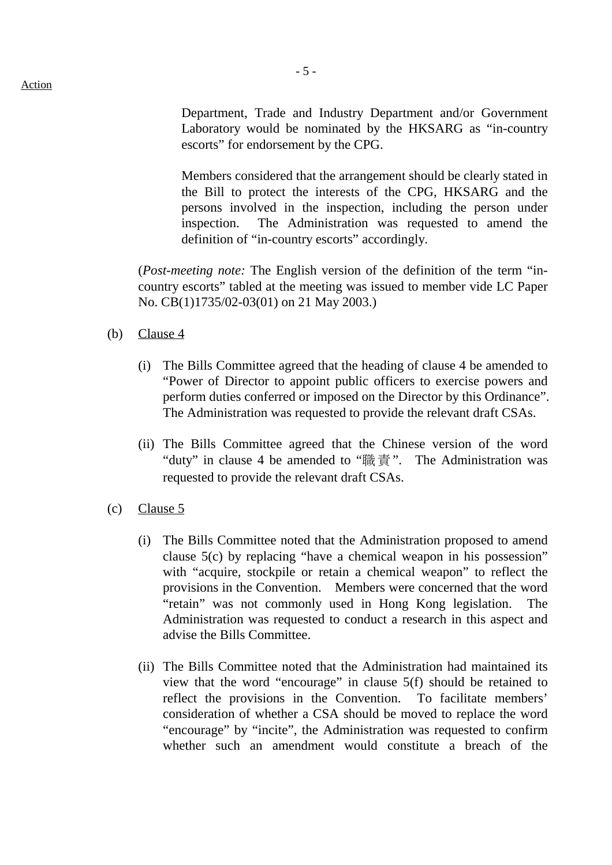Department, Trade and Industry Department and/or Government Laboratory would be nominated by the HKSARG as "in-country escorts" for endorsement by the CPG.

Members considered that the arrangement should be clearly stated in the Bill to protect the interests of the CPG, HKSARG and the persons involved in the inspection, including the person under inspection. The Administration was requested to amend the definition of "in-country escorts" accordingly.

(*Post-meeting note:* The English version of the definition of the term "incountry escorts" tabled at the meeting was issued to member vide LC Paper No. CB(1)1735/02-03(01) on 21 May 2003.)

- (b) Clause 4
	- (i) The Bills Committee agreed that the heading of clause 4 be amended to "Power of Director to appoint public officers to exercise powers and perform duties conferred or imposed on the Director by this Ordinance". The Administration was requested to provide the relevant draft CSAs.
	- (ii) The Bills Committee agreed that the Chinese version of the word "duty" in clause 4 be amended to "職責". The Administration was requested to provide the relevant draft CSAs.
- (c) Clause 5
	- (i) The Bills Committee noted that the Administration proposed to amend clause 5(c) by replacing "have a chemical weapon in his possession" with "acquire, stockpile or retain a chemical weapon" to reflect the provisions in the Convention. Members were concerned that the word "retain" was not commonly used in Hong Kong legislation. The Administration was requested to conduct a research in this aspect and advise the Bills Committee.
	- (ii) The Bills Committee noted that the Administration had maintained its view that the word "encourage" in clause 5(f) should be retained to reflect the provisions in the Convention. To facilitate members' consideration of whether a CSA should be moved to replace the word "encourage" by "incite", the Administration was requested to confirm whether such an amendment would constitute a breach of the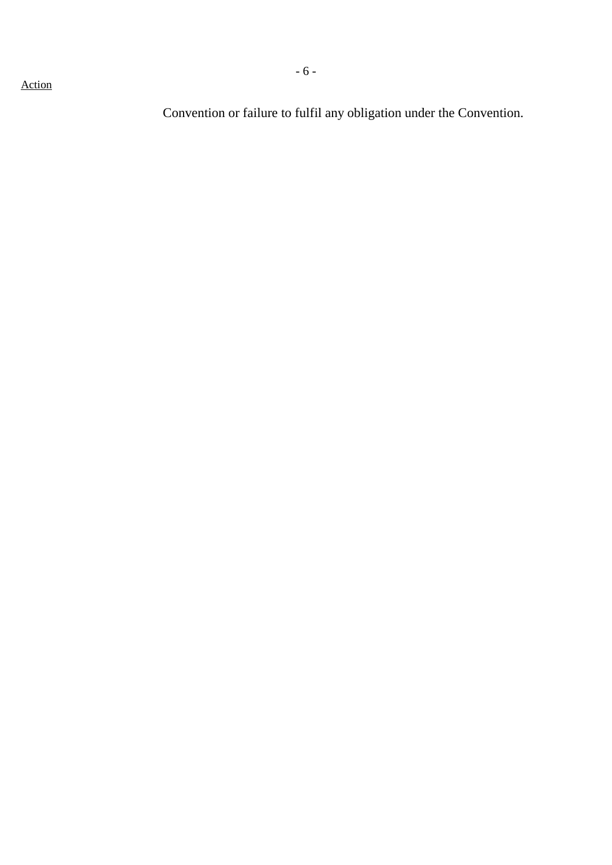Convention or failure to fulfil any obligation under the Convention.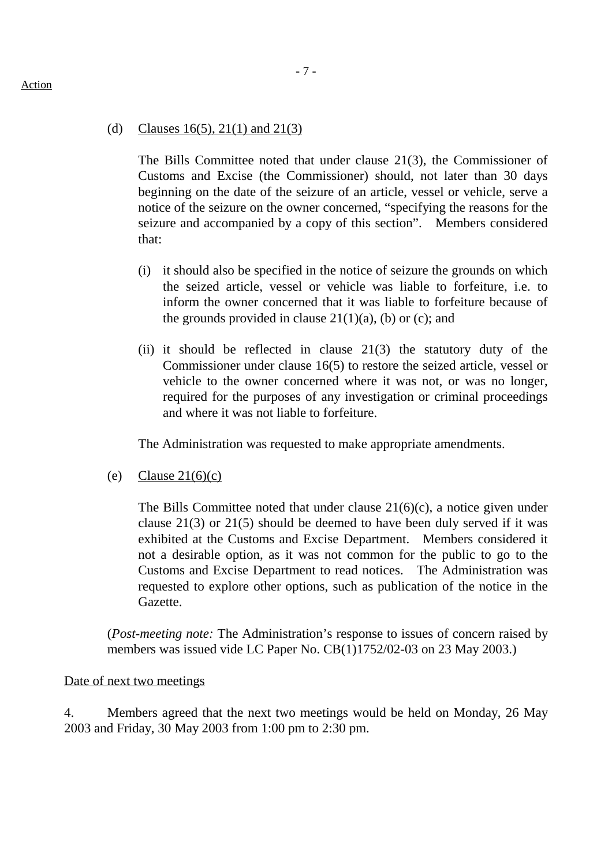#### (d) Clauses  $16(5)$ ,  $21(1)$  and  $21(3)$

The Bills Committee noted that under clause 21(3), the Commissioner of Customs and Excise (the Commissioner) should, not later than 30 days beginning on the date of the seizure of an article, vessel or vehicle, serve a notice of the seizure on the owner concerned, "specifying the reasons for the seizure and accompanied by a copy of this section". Members considered that:

- (i) it should also be specified in the notice of seizure the grounds on which the seized article, vessel or vehicle was liable to forfeiture, i.e. to inform the owner concerned that it was liable to forfeiture because of the grounds provided in clause  $21(1)(a)$ , (b) or (c); and
- (ii) it should be reflected in clause  $21(3)$  the statutory duty of the Commissioner under clause 16(5) to restore the seized article, vessel or vehicle to the owner concerned where it was not, or was no longer, required for the purposes of any investigation or criminal proceedings and where it was not liable to forfeiture.

The Administration was requested to make appropriate amendments.

(e) Clause  $21(6)(c)$ 

The Bills Committee noted that under clause 21(6)(c), a notice given under clause 21(3) or 21(5) should be deemed to have been duly served if it was exhibited at the Customs and Excise Department. Members considered it not a desirable option, as it was not common for the public to go to the Customs and Excise Department to read notices. The Administration was requested to explore other options, such as publication of the notice in the Gazette.

(*Post-meeting note:* The Administration's response to issues of concern raised by members was issued vide LC Paper No. CB(1)1752/02-03 on 23 May 2003.)

Date of next two meetings

4. Members agreed that the next two meetings would be held on Monday, 26 May 2003 and Friday, 30 May 2003 from 1:00 pm to 2:30 pm.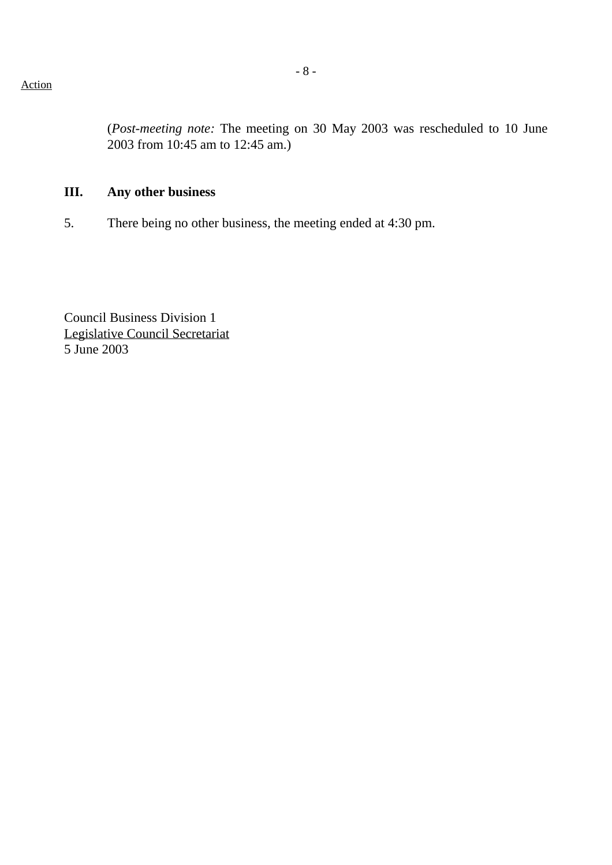(*Post-meeting note:* The meeting on 30 May 2003 was rescheduled to 10 June 2003 from 10:45 am to 12:45 am.)

# **III. Any other business**

5. There being no other business, the meeting ended at 4:30 pm.

Council Business Division 1 Legislative Council Secretariat 5 June 2003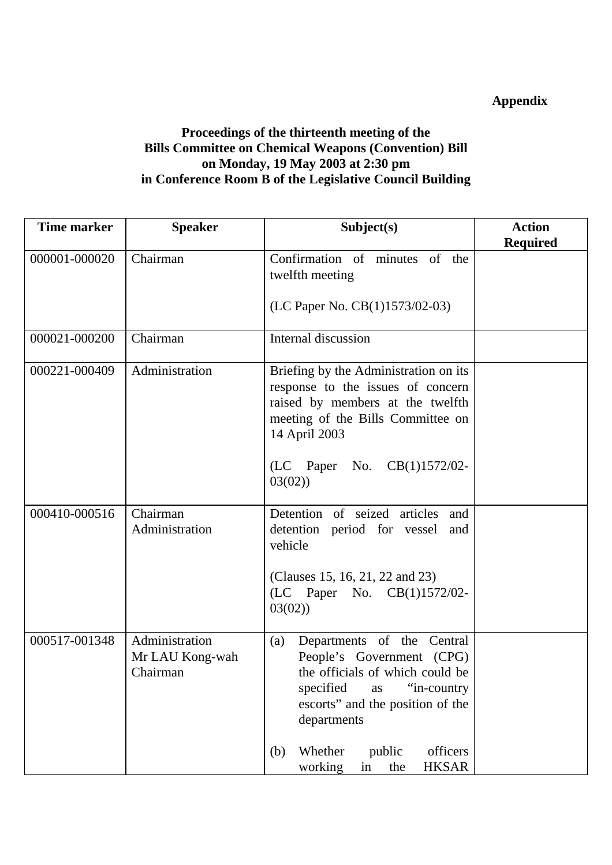# **Appendix**

## **Proceedings of the thirteenth meeting of the Bills Committee on Chemical Weapons (Convention) Bill on Monday, 19 May 2003 at 2:30 pm in Conference Room B of the Legislative Council Building**

| <b>Time marker</b> | <b>Speaker</b>                                | Subject(s)                                                                                                                                                                                                                                                             | <b>Action</b>   |
|--------------------|-----------------------------------------------|------------------------------------------------------------------------------------------------------------------------------------------------------------------------------------------------------------------------------------------------------------------------|-----------------|
|                    |                                               |                                                                                                                                                                                                                                                                        | <b>Required</b> |
| 000001-000020      | Chairman                                      | Confirmation of minutes of the<br>twelfth meeting<br>(LC Paper No. CB(1)1573/02-03)                                                                                                                                                                                    |                 |
| 000021-000200      | Chairman                                      | Internal discussion                                                                                                                                                                                                                                                    |                 |
| 000221-000409      | Administration                                | Briefing by the Administration on its<br>response to the issues of concern<br>raised by members at the twelfth<br>meeting of the Bills Committee on<br>14 April 2003<br>(LC Paper No. CB(1)1572/02-<br>03(02)                                                          |                 |
| 000410-000516      | Chairman<br>Administration                    | Detention of seized articles<br>and<br>detention period for vessel<br>and<br>vehicle<br>(Clauses 15, 16, 21, 22 and 23)<br>(LC Paper No. CB(1)1572/02-<br>03(02)                                                                                                       |                 |
| 000517-001348      | Administration<br>Mr LAU Kong-wah<br>Chairman | Departments of the Central<br>(a)<br>People's Government (CPG)<br>the officials of which could be<br>"in-country<br>specified<br>as<br>escorts" and the position of the<br>departments<br>Whether<br>public<br>officers<br>(b)<br><b>HKSAR</b><br>working<br>the<br>in |                 |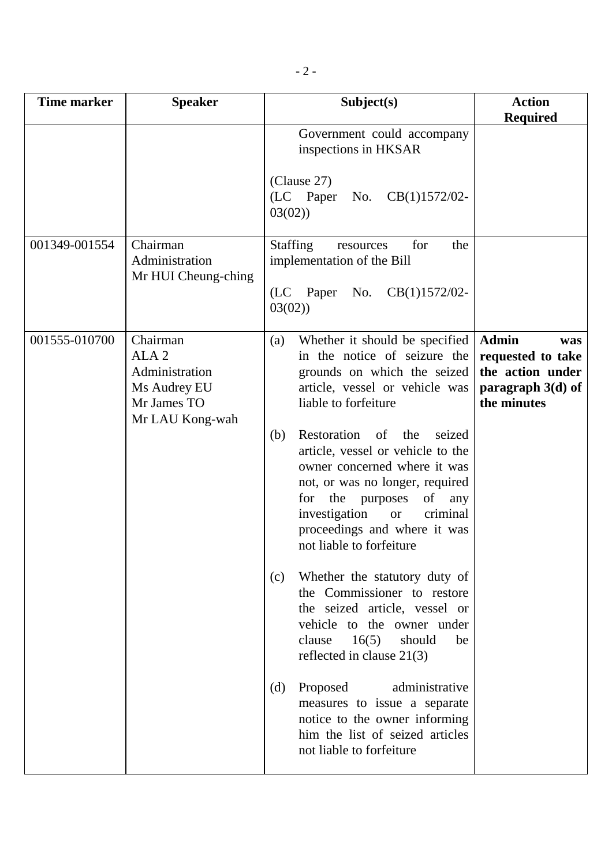| Time marker   | <b>Speaker</b>                                                                                   | Subject(s)                                                                                                                                                                                                                                                                                                                                                                                                                                                                                                                                                                                                                                                                                                                                                                                                                              | <b>Action</b><br><b>Required</b>                                                                   |
|---------------|--------------------------------------------------------------------------------------------------|-----------------------------------------------------------------------------------------------------------------------------------------------------------------------------------------------------------------------------------------------------------------------------------------------------------------------------------------------------------------------------------------------------------------------------------------------------------------------------------------------------------------------------------------------------------------------------------------------------------------------------------------------------------------------------------------------------------------------------------------------------------------------------------------------------------------------------------------|----------------------------------------------------------------------------------------------------|
|               |                                                                                                  | Government could accompany<br>inspections in HKSAR<br>(Clause 27)<br>(LC Paper<br>$CB(1)1572/02-$<br>No.<br>03(02)                                                                                                                                                                                                                                                                                                                                                                                                                                                                                                                                                                                                                                                                                                                      |                                                                                                    |
| 001349-001554 | Chairman<br>Administration<br>Mr HUI Cheung-ching                                                | <b>Staffing</b><br>for<br>the<br>resources<br>implementation of the Bill<br>(LC Paper No.<br>$CB(1)1572/02-$<br>03(02)                                                                                                                                                                                                                                                                                                                                                                                                                                                                                                                                                                                                                                                                                                                  |                                                                                                    |
| 001555-010700 | Chairman<br>ALA <sub>2</sub><br>Administration<br>Ms Audrey EU<br>Mr James TO<br>Mr LAU Kong-wah | Whether it should be specified<br>(a)<br>in the notice of seizure the<br>grounds on which the seized<br>article, vessel or vehicle was<br>liable to forfeiture<br>Restoration<br>of<br>(b)<br>the<br>seized<br>article, vessel or vehicle to the<br>owner concerned where it was<br>not, or was no longer, required<br>of<br>for the purposes<br>any<br>investigation<br>criminal<br><b>or</b><br>proceedings and where it was<br>not liable to forfeiture<br>Whether the statutory duty of<br>(c)<br>the Commissioner to restore<br>the seized article, vessel or<br>vehicle to the owner under<br>clause<br>16(5)<br>should<br>be<br>reflected in clause $21(3)$<br>Proposed<br>administrative<br>(d)<br>measures to issue a separate<br>notice to the owner informing<br>him the list of seized articles<br>not liable to forfeiture | <b>Admin</b><br>was<br>requested to take<br>the action under<br>paragraph $3(d)$ of<br>the minutes |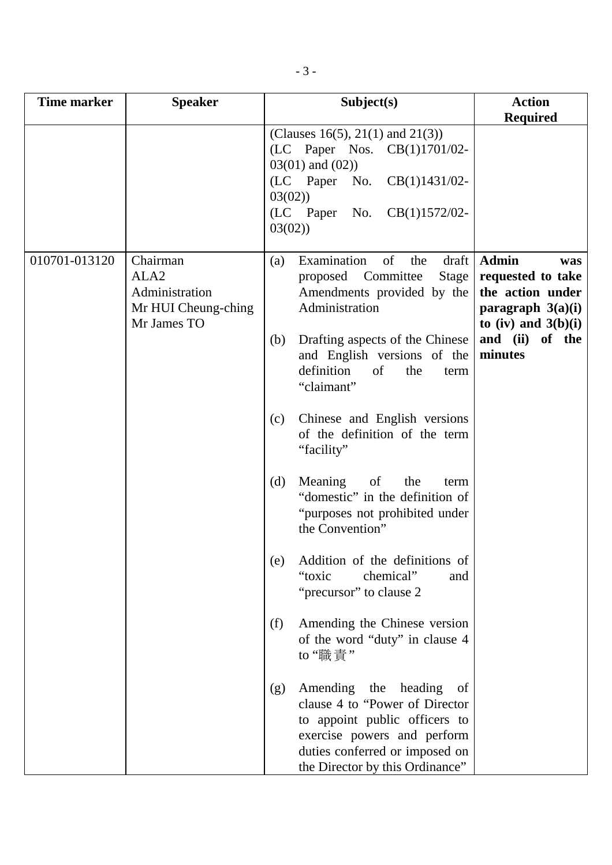| Time marker   | <b>Speaker</b>                                                                       | Subject(s)                                                                                                                                                                                                                                                                                                                                                                                                                                                                                                                                                                                                                                                                                                                                                                                                                                                                  | <b>Action</b><br><b>Required</b>                                                                                                                |
|---------------|--------------------------------------------------------------------------------------|-----------------------------------------------------------------------------------------------------------------------------------------------------------------------------------------------------------------------------------------------------------------------------------------------------------------------------------------------------------------------------------------------------------------------------------------------------------------------------------------------------------------------------------------------------------------------------------------------------------------------------------------------------------------------------------------------------------------------------------------------------------------------------------------------------------------------------------------------------------------------------|-------------------------------------------------------------------------------------------------------------------------------------------------|
|               |                                                                                      | (Clauses 16(5), 21(1) and 21(3))<br>(LC Paper Nos. CB(1)1701/02-<br>$03(01)$ and $(02)$ )<br>(LC Paper No. CB(1)1431/02-<br>03(02)<br>(LC Paper<br>No. $CB(1)1572/02$ -<br>03(02)                                                                                                                                                                                                                                                                                                                                                                                                                                                                                                                                                                                                                                                                                           |                                                                                                                                                 |
| 010701-013120 | Chairman<br>ALA <sub>2</sub><br>Administration<br>Mr HUI Cheung-ching<br>Mr James TO | Examination<br>of<br>the<br>$dr$ aft<br>(a)<br>proposed Committee<br>Stage  <br>Amendments provided by the<br>Administration<br>Drafting aspects of the Chinese<br>(b)<br>and English versions of the<br>definition<br>of<br>the<br>term<br>"claimant"<br>Chinese and English versions<br>(c)<br>of the definition of the term<br>"facility"<br>Meaning of<br>the<br>(d)<br>term<br>"domestic" in the definition of<br>"purposes not prohibited under<br>the Convention"<br>Addition of the definitions of<br>(e)<br>"toxic<br>chemical"<br>and<br>"precursor" to clause 2<br>Amending the Chinese version<br>(f)<br>of the word "duty" in clause 4<br>to "職責"<br>Amending the heading<br>(g)<br>of<br>clause 4 to "Power of Director"<br>to appoint public officers to<br>exercise powers and perform<br>duties conferred or imposed on<br>the Director by this Ordinance" | <b>Admin</b><br>was<br>requested to take<br>the action under<br>paragraph $3(a)(i)$<br>to (iv) and $3(b)(i)$<br>and $(ii)$<br>of the<br>minutes |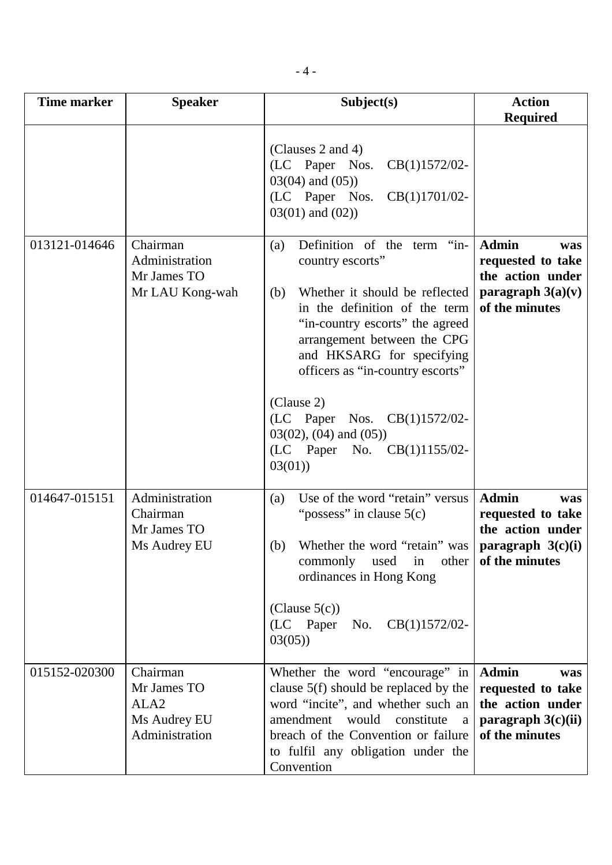| <b>Time marker</b> | <b>Speaker</b>                                                                | Subject(s)                                                                                                                                                                                                                                                                                                                                                                                     | <b>Action</b><br><b>Required</b>                                                                              |
|--------------------|-------------------------------------------------------------------------------|------------------------------------------------------------------------------------------------------------------------------------------------------------------------------------------------------------------------------------------------------------------------------------------------------------------------------------------------------------------------------------------------|---------------------------------------------------------------------------------------------------------------|
|                    |                                                                               | (Clauses 2 and 4)<br>(LC Paper Nos.<br>$CB(1)1572/02-$<br>$03(04)$ and $(05)$ )<br>(LC Paper Nos.<br>$CB(1)1701/02$ -<br>$03(01)$ and $(02)$ )                                                                                                                                                                                                                                                 |                                                                                                               |
| 013121-014646      | Chairman<br>Administration<br>Mr James TO<br>Mr LAU Kong-wah                  | Definition of the term "in-<br>(a)<br>country escorts"<br>Whether it should be reflected<br>(b)<br>in the definition of the term<br>"in-country escorts" the agreed<br>arrangement between the CPG<br>and HKSARG for specifying<br>officers as "in-country escorts"<br>(Clause 2)<br>(LC Paper Nos. CB(1)1572/02-<br>$03(02)$ , $(04)$ and $(05)$ )<br>(LC Paper No. $CB(1)1155/02-$<br>03(01) | <b>Admin</b><br>was<br>requested to take<br>the action under<br>paragraph $3(a)(v)$<br>of the minutes         |
| 014647-015151      | Administration<br>Chairman<br>Mr James TO<br>Ms Audrey EU                     | Use of the word "retain" versus<br>(a)<br>"possess" in clause $5(c)$<br>Whether the word "retain" was<br>(b)<br>commonly used in<br>ordinances in Hong Kong<br>(Clause $5(c)$ )<br>(LC Paper<br>No.<br>$CB(1)1572/02-$<br>03(05)                                                                                                                                                               | <b>Admin</b><br>was<br>requested to take<br>the action under<br>paragraph $3(c)(i)$<br>other   of the minutes |
| 015152-020300      | Chairman<br>Mr James TO<br>ALA <sub>2</sub><br>Ms Audrey EU<br>Administration | Whether the word "encourage" in<br>clause 5(f) should be replaced by the<br>word "incite", and whether such an<br>amendment<br>would<br>constitute<br>a<br>breach of the Convention or failure<br>to fulfil any obligation under the<br>Convention                                                                                                                                             | <b>Admin</b><br>was<br>requested to take<br>the action under<br>paragraph $3(c)(ii)$<br>of the minutes        |